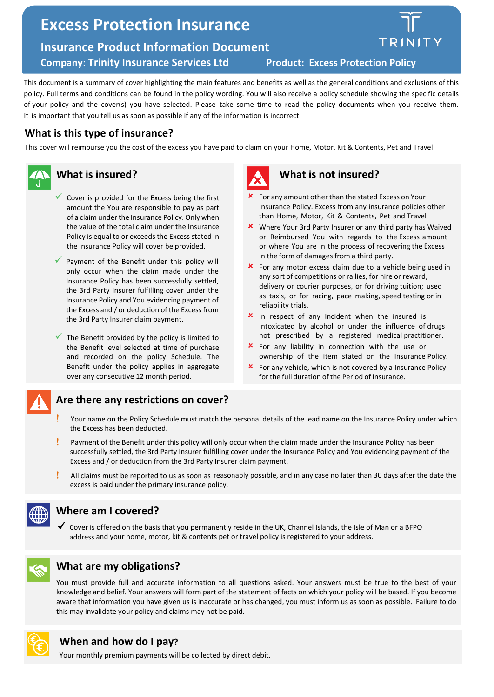# **Excess Protection Insurance**

**Insurance Product Information Document** 

**Company**: **Trinity Insurance Services Ltd Product: Excess Pro[tection Policy](https://www.talktotrinity.com/)**



This document is a summary of cover highlighting the main features and benefits as well as the general conditions and exclusions of this policy. Full terms and conditions can be found in the policy wording. You will also receive a policy schedule showing the specific details of your policy and the cover(s) you have selected. Please take some time to read the policy documents when you receive them. It is important that you tell us as soon as possible if any of the information is incorrect.

### **What is this type of insurance?**

This cover will reimburse you the cost of the excess you have paid to claim on your Home, Motor, Kit & Contents, Pet and Travel.



### **What is insured?**

- $\checkmark$  Cover is provided for the Excess being the first amount the You are responsible to pay as part of a claim under the Insurance Policy. Only when the value of the total claim under the Insurance Policy is equal to or exceeds the Excess stated in the Insurance Policy will cover be provided.
- $\checkmark$  Payment of the Benefit under this policy will only occur when the claim made under the Insurance Policy has been successfully settled, the 3rd Party Insurer fulfilling cover under the Insurance Policy and You evidencing payment of the Excess and / or deduction of the Excess from the 3rd Party Insurer claim payment.
- The Benefit provided by the policy is limited to the Benefit level selected at time of purchase and recorded on the policy Schedule. The Benefit under the policy applies in aggregate over any consecutive 12 month period.



# **What is not insured?**

- For any amount other than the stated Excess on Your Insurance Policy. Excess from any insurance policies other than Home, Motor, Kit & Contents, Pet and Travel
- Where Your 3rd Party Insurer or any third party has Waived or Reimbursed You with regards to the Excess amount or where You are in the process of recovering the Excess in the form of damages from a third party.
- **\*** For any motor excess claim due to a vehicle being used in any sort of competitions or rallies, for hire or reward, delivery or courier purposes, or for driving tuition; used as taxis, or for racing, pace making, speed testing or in reliability trials.
- **x** In respect of any Incident when the insured is intoxicated by alcohol or under the influence of drugs not prescribed by a registered medical practitioner.
- **\*** For any liability in connection with the use or ownership of the item stated on the Insurance Policy.
- For any vehicle, which is not covered by a Insurance Policy for the full duration of the Period of Insurance.

## **Are there any restrictions on cover?**

- Your name on the Policy Schedule must match the personal details of the lead name on the Insurance Policy under which the Excess has been deducted.
- Payment of the Benefit under this policy will only occur when the claim made under the Insurance Policy has been successfully settled, the 3rd Party Insurer fulfilling cover under the Insurance Policy and You evidencing payment of the Excess and / or deduction from the 3rd Party Insurer claim payment.
- ! All claims must be reported to us as soon as reasonably possible, and in any case no later than 30 days after the date the excess is paid under the primary insurance policy.



## **Where am I covered?**

✓ Cover is offered on the basis that you permanently reside in the UK, Channel Islands, the Isle of Man or a BFPO address and your home, motor, kit & contents pet or travel policy is registered to your address.



## **What are my obligations?**

You must provide full and accurate information to all questions asked. Your answers must be true to the best of your knowledge and belief. Your answers will form part of the statement of facts on which your policy will be based. If you become aware that information you have given us is inaccurate or has changed, you must inform us as soon as possible. Failure to do this may invalidate your policy and claims may not be paid.



### **When and how do I pay?**

Your monthly premium payments will be collected by direct debit.